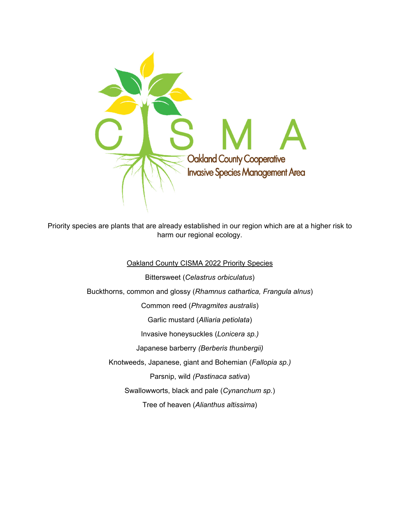

Priority species are plants that are already established in our region which are at a higher risk to harm our regional ecology.

Oakland County CISMA 2022 Priority Species

Bittersweet (*Celastrus orbiculatus*) Buckthorns, common and glossy (*Rhamnus cathartica, Frangula alnus*) Common reed (*Phragmites australis*) Garlic mustard (*Alliaria petiolata*) Invasive honeysuckles (*Lonicera sp.)*  Japanese barberry *(Berberis thunbergii)* Knotweeds, Japanese, giant and Bohemian (*Fallopia sp.)*  Parsnip, wild *(Pastinaca sativa*) Swallowworts, black and pale (*Cynanchum sp.*) Tree of heaven (*Alianthus altissima*)